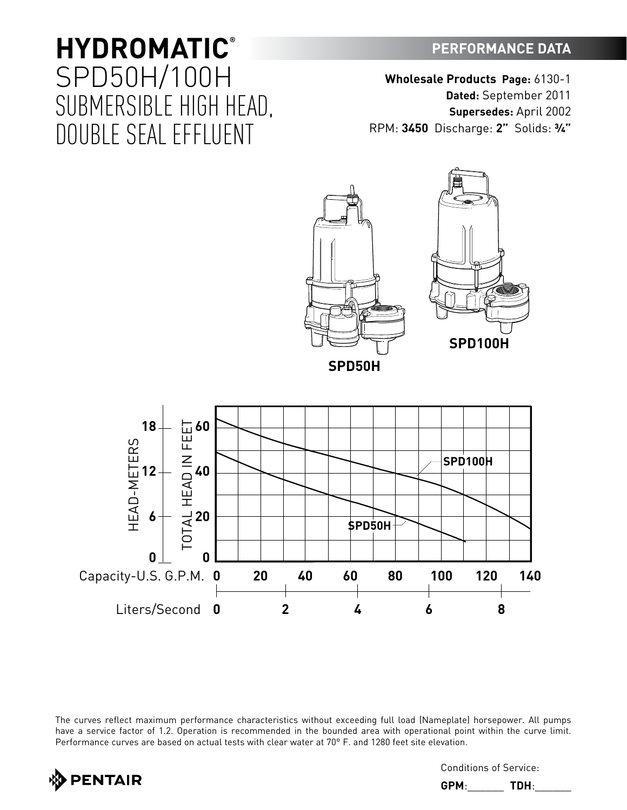## **PERFORMANCE DATA**

**HYDROMATIC®** SPD50H/100H SUBMERSIBLE HIGH HEAD, DOUBLE SEAL EFFLUENT

**Wholesale Products Page:** 6130-1 **Dated:** September 2011 **Supersedes:** April 2002 RPM: **3450** Discharge: **2"** Solids: **¾"**



**0 20 40 60 80 100 120 140**

**0 2 4 6 8**

The curves reflect maximum performance characteristics without exceeding full load (Nameplate) horsepower. All pumps have a service factor of 1.2. Operation is recommended in the bounded area with operational point within the curve limit. Performance curves are based on actual tests with clear water at 70° F. and 1280 feet site elevation.



Capacity-U.S. G.P.M.

**0**

**0**

Conditions of Service:

**GPM**:\_\_\_\_\_\_ **TDH**:\_\_\_\_\_\_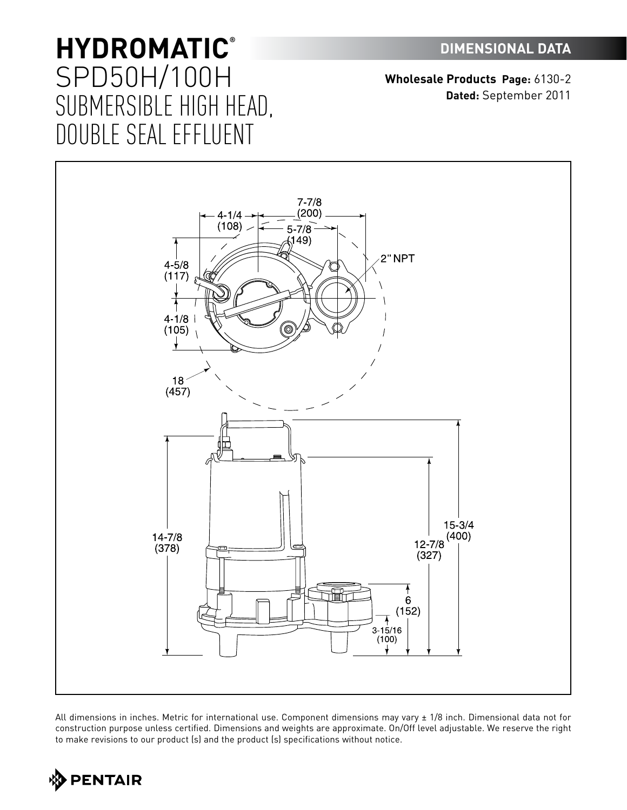**Wholesale Products Page:** 6130-2 **Dated:** September 2011



All dimensions in inches. Metric for international use. Component dimensions may vary ± 1/8 inch. Dimensional data not for construction purpose unless certified. Dimensions and weights are approximate. On/Off level adjustable. We reserve the right to make revisions to our product (s) and the product (s) specifications without notice.

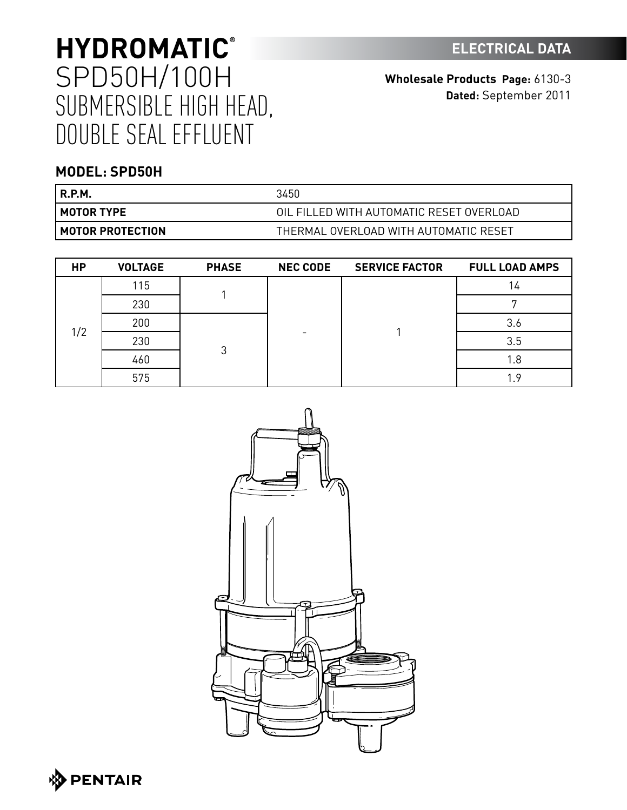**Wholesale Products Page:** 6130-3 **Dated:** September 2011

### **MODEL: SPD50H**

| <b>R.P.M.</b>             | 3450                                     |
|---------------------------|------------------------------------------|
| l MOTOR TYPE              | OIL FILLED WITH AUTOMATIC RESET OVERLOAD |
| <b>I MOTOR PROTECTION</b> | THERMAL OVERLOAD WITH AUTOMATIC RESET    |

| <b>HP</b> | <b>VOLTAGE</b> | <b>PHASE</b> | <b>NEC CODE</b> | <b>SERVICE FACTOR</b> | <b>FULL LOAD AMPS</b> |
|-----------|----------------|--------------|-----------------|-----------------------|-----------------------|
|           | 115            |              | -               |                       | 14                    |
|           | 230            |              |                 |                       |                       |
| 1/2       | 200            | 3            |                 |                       | 3.6                   |
|           | 230            |              |                 |                       | 3.5                   |
|           | 460            |              |                 |                       | 1.8                   |
|           | 575            |              |                 |                       | 1.9 <sup>°</sup>      |

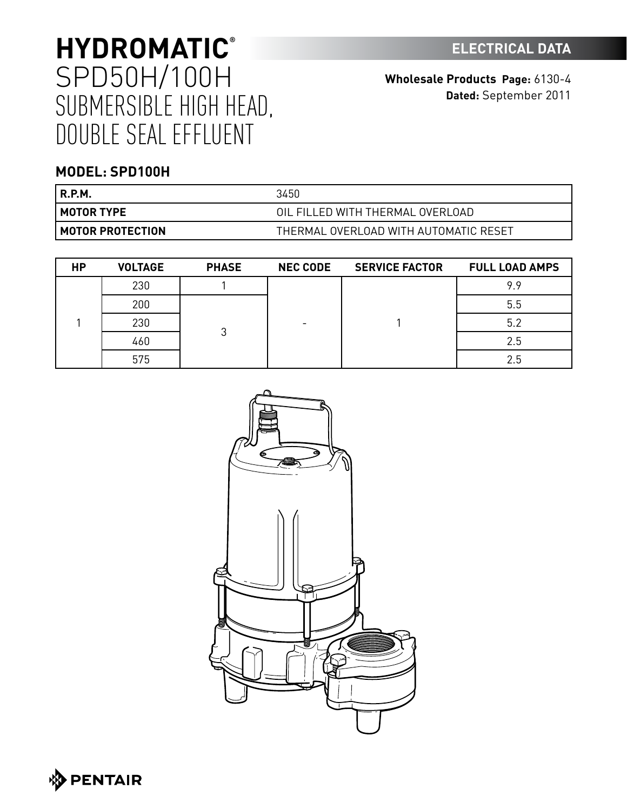**Wholesale Products Page:** 6130-4 **Dated:** September 2011

## **MODEL: SPD100H**

| <b>R.P.M.</b>             | 3450                                  |
|---------------------------|---------------------------------------|
| l MOTOR TYPE              | OIL FILLED WITH THERMAL OVERLOAD      |
| <b>I MOTOR PROTECTION</b> | THERMAL OVERLOAD WITH AUTOMATIC RESET |

| <b>HP</b> | <b>VOLTAGE</b> | <b>PHASE</b> | <b>NEC CODE</b> | <b>SERVICE FACTOR</b> | <b>FULL LOAD AMPS</b> |
|-----------|----------------|--------------|-----------------|-----------------------|-----------------------|
|           | 230            |              |                 |                       | 9.9                   |
|           | 200            |              |                 | 5.5                   |                       |
|           | 230            | 3            |                 |                       | 5.2                   |
|           | 460            |              |                 |                       | 2.5                   |
|           | 575            |              |                 |                       | 2.5                   |



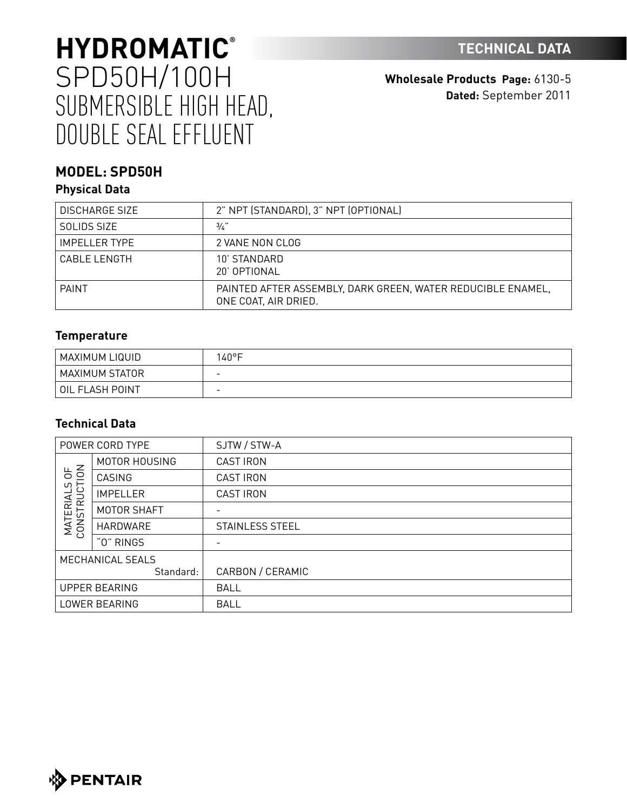**Wholesale Products Page:** 6130-5 **Dated:** September 2011

## **MODEL: SPD50H**

### **Physical Data**

| DISCHARGE SIZE       | 2" NPT (STANDARD), 3" NPT (OPTIONAL)                                                |
|----------------------|-------------------------------------------------------------------------------------|
| SOLIDS SIZE          | $\frac{3}{4}$                                                                       |
| <b>IMPELLER TYPE</b> | 2 VANE NON CLOG                                                                     |
| <b>CABLE LENGTH</b>  | 10' STANDARD<br>20' OPTIONAL                                                        |
| <b>PAINT</b>         | PAINTED AFTER ASSEMBLY, DARK GREEN, WATER REDUCIBLE ENAMEL,<br>ONE COAT, AIR DRIED. |

#### **Temperature**

| ! MAXIMUM LIQUID | $40^{\circ}$ F           |
|------------------|--------------------------|
| MAXIMUM STATOR   | -                        |
| OIL FLASH POINT  | $\overline{\phantom{0}}$ |

### **Technical Data**

| POWER CORD TYPE               |                      | SJTW / STW-A     |
|-------------------------------|----------------------|------------------|
|                               | MOTOR HOUSING        | <b>CAST IRON</b> |
| 56                            | CASING               | <b>CAST IRON</b> |
| C)                            | <b>IMPELLER</b>      | <b>CAST IRON</b> |
|                               | MOTOR SHAFT          |                  |
| <b>MATERIALS</b><br>CONSTRUCT | HARDWARE             | STAINLESS STEEL  |
|                               | "0" RINGS            |                  |
|                               | MECHANICAL SEALS     |                  |
|                               | Standard:            | CARBON / CERAMIC |
|                               | <b>UPPER BEARING</b> | <b>BALL</b>      |
| LOWER BEARING                 |                      | <b>BALL</b>      |

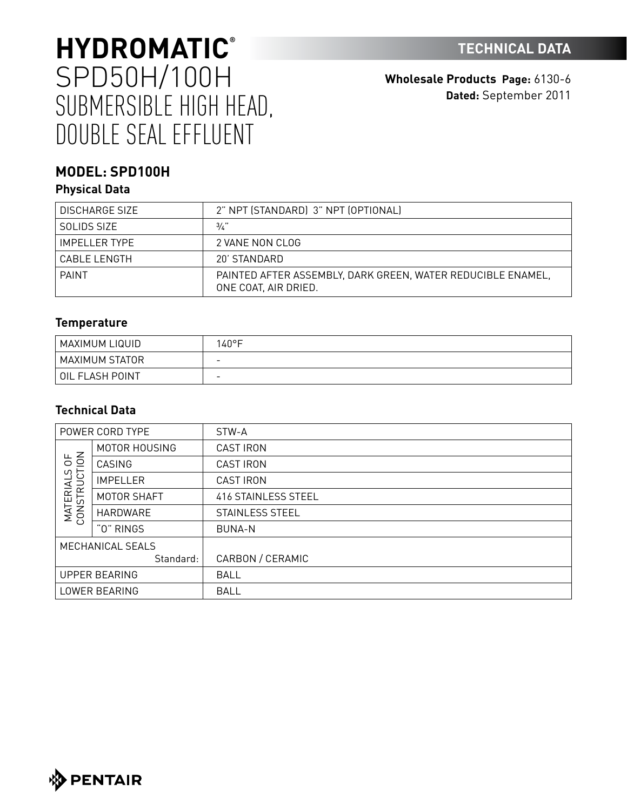**Wholesale Products Page:** 6130-6 **Dated:** September 2011

## **MODEL: SPD100H**

### **Physical Data**

| DISCHARGE SIZE  | 2" NPT (STANDARD) 3" NPT (OPTIONAL)                                                 |
|-----------------|-------------------------------------------------------------------------------------|
| SOLIDS SIZE     | 3/2                                                                                 |
| IMPFI I FR TYPF | 2 VANE NON CLOG                                                                     |
| CABLE LENGTH    | 20' STANDARD                                                                        |
| <b>PAINT</b>    | PAINTED AFTER ASSEMBLY, DARK GREEN, WATER REDUCIBLE ENAMEL,<br>ONE COAT, AIR DRIED. |

### **Temperature**

| MAXIMUM LIQUID  | 140°F                    |
|-----------------|--------------------------|
| MAXIMUM STATOR  | $\overline{\phantom{a}}$ |
| OIL FLASH POINT | $\overline{\phantom{0}}$ |

### **Technical Data**

|                                    | POWER CORD TYPE      | STW-A                  |
|------------------------------------|----------------------|------------------------|
|                                    | MOTOR HOUSING        | <b>CAST IRON</b>       |
| 50 <sup>2</sup>                    | CASING               | <b>CAST IRON</b>       |
| ഗ<br><b>MATERIALS</b><br>CONSTRUCT | <b>IMPELLER</b>      | <b>CAST IRON</b>       |
|                                    | MOTOR SHAFT          | 416 STAINLESS STEEL    |
|                                    | HARDWARE             | <b>STAINLESS STEEL</b> |
|                                    | "0" RINGS            | <b>BUNA-N</b>          |
|                                    | MECHANICAL SEALS     |                        |
|                                    | Standard:            | CARBON / CERAMIC       |
|                                    | <b>UPPER BEARING</b> | <b>BALL</b>            |
|                                    | LOWER BEARING        | <b>BALL</b>            |

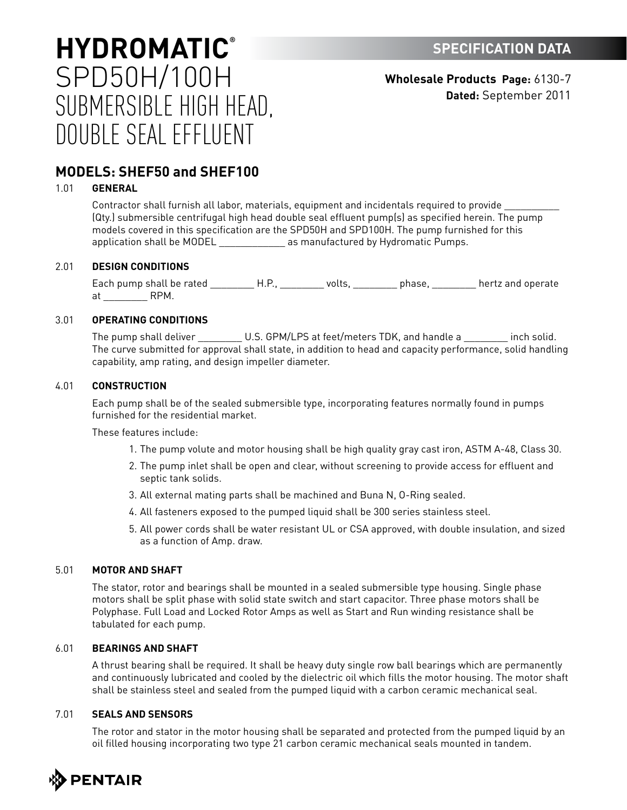**Wholesale Products Page:** 6130-7 **Dated:** September 2011

## **MODELS: SHEF50 and SHEF100**

#### 1.01 **GENERAL**

Contractor shall furnish all labor, materials, equipment and incidentals required to provide \_\_\_\_\_\_\_\_\_\_ (Qty.) submersible centrifugal high head double seal effluent pump(s) as specified herein. The pump models covered in this specification are the SPD50H and SPD100H. The pump furnished for this application shall be MODEL \_\_\_\_\_\_\_\_\_\_\_\_\_ as manufactured by Hydromatic Pumps.

#### 2.01 **DESIGN CONDITIONS**

Each pump shall be rated \_\_\_\_\_\_\_\_\_\_H.P., \_\_\_\_\_\_\_\_\_ volts, \_\_\_\_\_\_\_\_\_ phase, \_\_\_\_\_\_\_\_\_ hertz and operate at \_\_\_\_\_\_\_\_ RPM.

#### 3.01 **OPERATING CONDITIONS**

The pump shall deliver \_\_\_\_\_\_\_\_\_ U.S. GPM/LPS at feet/meters TDK, and handle a \_\_\_\_\_\_\_\_ inch solid. The curve submitted for approval shall state, in addition to head and capacity performance, solid handling capability, amp rating, and design impeller diameter.

#### 4.01 **CONSTRUCTION**

Each pump shall be of the sealed submersible type, incorporating features normally found in pumps furnished for the residential market.

These features include:

- 1. The pump volute and motor housing shall be high quality gray cast iron, ASTM A-48, Class 30.
- 2. The pump inlet shall be open and clear, without screening to provide access for effluent and septic tank solids.
- 3. All external mating parts shall be machined and Buna N, O-Ring sealed.
- 4. All fasteners exposed to the pumped liquid shall be 300 series stainless steel.
- 5. All power cords shall be water resistant UL or CSA approved, with double insulation, and sized as a function of Amp. draw.

#### 5.01 **MOTOR AND SHAFT**

The stator, rotor and bearings shall be mounted in a sealed submersible type housing. Single phase motors shall be split phase with solid state switch and start capacitor. Three phase motors shall be Polyphase. Full Load and Locked Rotor Amps as well as Start and Run winding resistance shall be tabulated for each pump.

#### 6.01 **BEARINGS AND SHAFT**

A thrust bearing shall be required. It shall be heavy duty single row ball bearings which are permanently and continuously lubricated and cooled by the dielectric oil which fills the motor housing. The motor shaft shall be stainless steel and sealed from the pumped liquid with a carbon ceramic mechanical seal.

#### 7.01 **SEALS AND SENSORS**

The rotor and stator in the motor housing shall be separated and protected from the pumped liquid by an oil filled housing incorporating two type 21 carbon ceramic mechanical seals mounted in tandem.